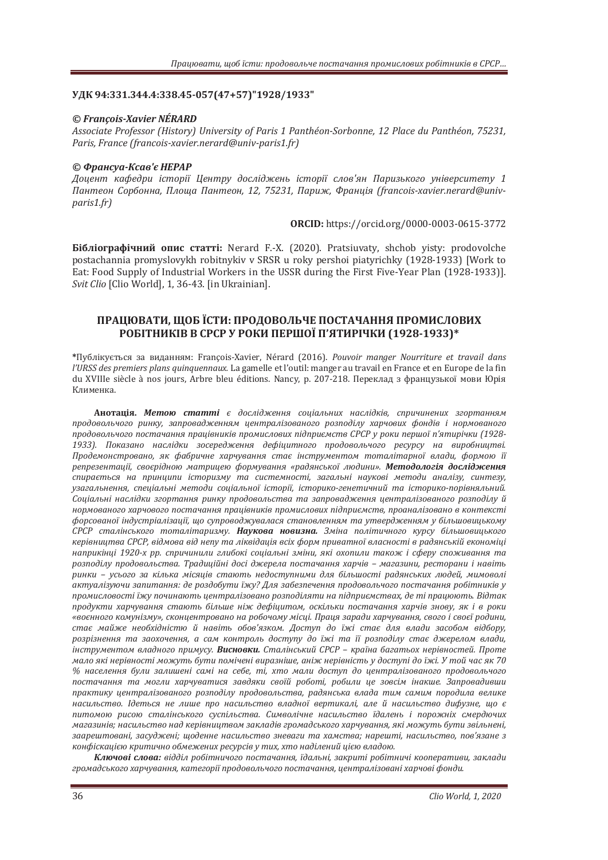## УДК 94:331.344.4:338.45-057(47+57)"1928/1933"

### *© François-Xavier NÉRARD*

*Associate Professor (History) University of Paris 1 Panthéon-Sorbonne. 12 Place du Panthéon. 75231. <u>Paris, France (francois-xavier.nerard@univ-paris1.fr)*</u>

### *© ʣ˓˃ː˔˖˃-ʙ˔˃˅̹˦ ʜʔʟʏʟ*

Доцент кафедри історії Центру досліджень історії слов'ян Паризького університету 1  $\Pi$ антеон Сорбонна, Площа Пантеон, 12, 75231, Париж, Франція (francois-xavier.nerard@univ*paris1.fr*)

**ORCID**: https://orcid.org/0000-0003-0615-3772

**Бібліографічний опис статті:** Nerard F.-X. (2020). Pratsiuvaty, shchob yisty: prodovolche postachannia promyslovykh robitnykiv v SRSR u roky pershoi piatyrichky (1928-1933) [Work to Eat: Food Supply of Industrial Workers in the USSR during the First Five-Year Plan (1928-1933)]. *Clio* [Clio World], 1, 36-43. [in Ukrainian].

# ПРАЦЮВАТИ, ЩОБ ЇСТИ: ПРОДОВОЛЬЧЕ ПОСТАЧАННЯ ПРОМИСЛОВИХ РОБІТНИКІВ В СРСР У РОКИ ПЕРШОЇ П'ЯТИРІЧКИ (1928-1933)\*

**\***ʞ˖˄ˎ˪ˍ˖˦˕˟˔ˢ ˊ˃ ˅ˋˇ˃ːːˢˏǣ François-Xavier, Nérard (2016).  *l'URSS des premiers plans quinquennaux. La gamelle et l'outil: manger au travail en France et en Europe de la fin* du XVIIIe siècle à nos jours, Arbre bleu éditions. Nancy, p. 207-218. Переклад з французької мови Юрія Клименка.

**Анотація. Метою статті** є дослідження соціальних наслідків, спричинених згортанням продовольчого ринку, запровадженням централізованого розподілу харчових фондів і нормованого продовольчого постачання працівників промислових підприємств СРСР у роки першої п'ятирічки (1928-1933). Показано наслідки зосередження дефіцитного продовольчого ресурсу на виробництві. Продемонстровано, як фабричне харчування стає інструментом тоталітарної влади, формою її репрезентації, своєрідною матрицею формування «радянської людини». Методологія дослідження спирається на принципи історизму та системності, загальні наукові методи аналізу, синтезу, *˖ˊ˃ˆ˃ˎ˟ːˈːːˢǡ ˔˒ˈ˙˪˃ˎ˟ː˪ ˏˈ˕ˑˇˋ ˔ˑ˙˪˃ˎ˟ːˑ˫ ˪˔˕ˑ˓˪˫ǡ ˪˔˕ˑ˓ˋˍˑ-ˆˈːˈ˕ˋ˚ːˋˌ ˕˃ ˪˔˕ˑ˓ˋˍˑ-˒ˑ˓˪˅ːˢˎ˟ːˋˌǤ ʠˑ˙˪˃ˎ˟ː˪ ː˃˔ˎ˪ˇˍˋ ˊˆˑ˓˕˃ːːˢ ˓ˋːˍ˖ ˒˓ˑˇˑ˅ˑˎ˟˔˕˅˃ ˕˃ ˊ˃˒˓ˑ˅˃ˇˉˈːːˢ ˙ˈː˕˓˃ˎ˪ˊˑ˅˃ːˑˆˑ ˓ˑˊ˒ˑˇ˪ˎ˖ ˌ* нормованого харчового постачання працівників промислових підприємств, проаналізовано в контексті форсованої індустріалізації, що супроводжувалася становленням та утвердженням у більшовицькому СРСР сталінського тоталітаризму. Наукова новизна. Зміна політичного курсу більшовицького керівництва СРСР, відмова від непу та ліквідація всіх форм приватної власності в радянській економіці наприкінці 1920-х рр. спричинили глибокі соціальні зміни, які охопили також і сферу споживання та розподілу продовольства. Традиційні досі джерела постачання харчів – магазини, ресторани і навіть ринки – усього за кілька місяців стають недоступними для більшості радянських людей, мимоволі актуалізуючи запитання: де роздобути їжу? Для забезпечення продовольчого постачання робітників у промисловості їжу починають централізовано розподіляти на підприємствах, де ті працюють. Відтак продукти харчування стають більше ніж дефіцитом, оскільки постачання харчів знову, як і в роки «воєнного комунізму», сконцентровано на робочому місці. Праця заради харчування, свого і своєї родини, стає майже необхідністю й навіть обов'язком. Доступ до їжі стає для влади засобом відбору, розрізнення та заохочення, а сам контроль доступу до їжі та її розподілу стає джерелом влади,  $i$ нструментом владного примусу. Висновки. Сталінський СРСР - країна багатьох нерівностей. Проте  $\mu$ ало які нерівності можуть бути помічені виразніше, аніж нерівність у доступі до їжі. У той час як 70 *ά ː˃˔ˈˎˈːːˢ ˄˖ˎˋ ˊ˃ˎˋ˛ˈː˪ ˔˃ˏ˪ ː˃ ˔ˈ˄ˈǡ ˕˪ǡ ˘˕ˑ ˏ˃ˎˋ ˇˑ˔˕˖˒ ˇˑ ˙ˈː˕˓˃ˎ˪ˊˑ˅˃ːˑˆˑ ˒˓ˑˇˑ˅ˑˎ˟˚ˑˆˑ* постачання та могли харчуватися завдяки своїй роботі, робили це зовсім інакше. Запровадивши практику централізованого розподілу продовольства, радянська влада тим самим породила велике насильство. *Ідеться не лише про насильство владної вертикалі, але й насильство дифузне, що є* литомою рисою сталінського суспільства. Символічне насильство їдалень і порожніх смердючих магазинів; насильство над керівництвом закладів громадського харчування, які можуть бути звільнені, заарештовані, засуджені; шоденне насильство зневаги та хамства; нарешті, насильство, пов'язане з конфіскацією критично обмежених ресурсів у тих, хто наділений цією владою.

Ключові слова: відділ робітничого постачання, їдальні, закриті робітничі кооперативи, заклади громадського харчування, категорії продовольчого постачання, централізовані харчові фонди.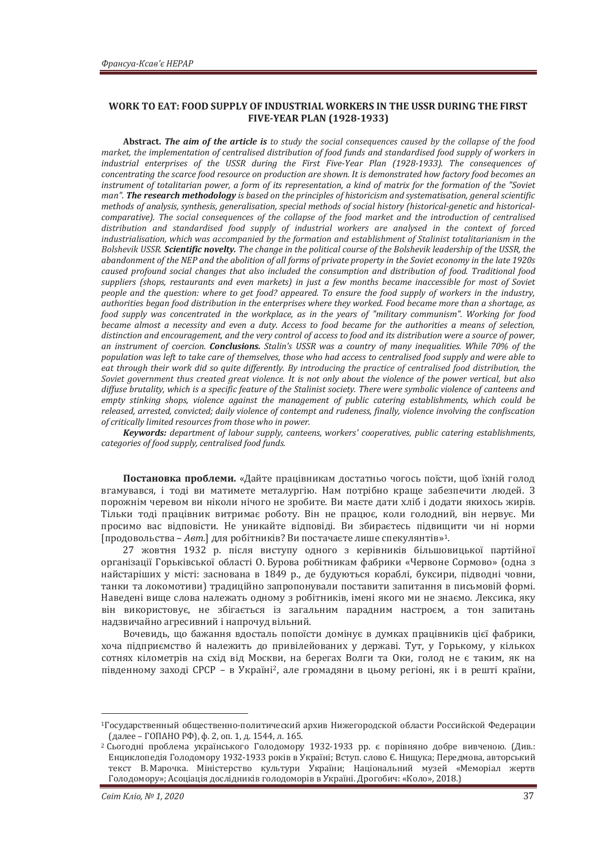### WORK TO EAT: FOOD SUPPLY OF INDUSTRIAL WORKERS IN THE USSR DURING THE FIRST  $\textbf{FIVE-YEAR PLAN}$  (1928-1933)

**Abstract. The aim of the article is to study the social consequences caused by the collapse of the food** market, the implementation of centralised distribution of food funds and standardised food supply of workers in *industrial enterprises of the USSR during the First Five-Year Plan (1928-1933). The consequences of concentrating the scarce food resource on production are shown. It is demonstrated how factory food becomes an instrument of totalitarian power, a form of its representation, a kind of matrix for the formation of the "Soviet man"*. The research methodology is based on the principles of historicism and systematisation, general scientific *methods of analysis, synthesis, generalisation, special methods of social history (historical-genetic and historical*comparative). The social consequences of the collapse of the food market and the introduction of centralised distribution and standardised food supply of industrial workers are analysed in the context of forced industrialisation, which was accompanied by the formation and establishment of Stalinist totalitarianism in the *Bolshevik USSR*, **Scientific novelty**. The change in the political course of the Bolshevik leadership of the USSR, the abandonment of the NEP and the abolition of all forms of private property in the Soviet economy in the late 1920s caused profound social changes that also included the consumption and distribution of food. Traditional food suppliers (shops, restaurants and even markets) in just a few months became inaccessible for most of Soviet *people and the auestion: where to aet food? appeared. To ensure the food supply of workers in the industry.* authorities began food distribution in the enterprises where they worked. Food became more than a shortage, as *food supply was concentrated in the workplace, as in the years of "military communism". Working for food became almost a necessity and even a duty. Access to food became for the authorities a means of selection.* distinction and encouragement, and the very control of access to food and its distribution were a source of power. an instrument of coercion. **Conclusions.** Stalin's USSR was a country of many inequalities. While 70% of the population was left to take care of themselves, those who had access to centralised food supply and were able to eat through their work did so quite differently. By introducing the practice of centralised food distribution, the *Soviet government thus created great violence. It is not only about the violence of the power vertical, but also* diffuse brutality, which is a specific feature of the Stalinist society. There were symbolic violence of canteens and *empty stinking shops, violence against the management of public catering establishments, which could be* released, arrested, convicted; daily violence of contempt and rudeness, finally, violence involving the confiscation *of critically limited resources from those who in power.* 

*Keywords: department of labour supply, canteens, workers' cooperatives, public catering establishments,* categories of food supply, centralised food funds.

Постановка проблеми. «Дайте працівникам достатньо чогось поїсти, щоб їхній голод вгамувався, і тоді ви матимете металургію. Нам потрібно краще забезпечити людей. З порожнім черевом ви ніколи нічого не зробите. Ви маєте дати хліб і додати якихось жирів. Тільки тоді працівник витримає роботу. Він не працює, коли голодний, він нервує. Ми просимо вас відповісти. Не уникайте відповіді. Ви збираєтесь підвищити чи ні норми [продовольства – *Авт.*] для робітників? Ви постачаєте лише спекулянтів»<sup>1</sup>.

27 жовтня 1932 р. після виступу одного з керівників більшовицької партійної організації Горьківської області О. Бурова робітникам фабрики «Червоне Сормово» (одна з найстаріших у місті: заснована в 1849 р., де будуються кораблі, буксири, підводні човни, танки та локомотиви) традиційно запропонували поставити запитання в письмовій формі. Наведені вище слова належать одному з робітників, імені якого ми не знаємо. Лексика, яку він використовує, не збігається із загальним парадним настроєм, а тон запитань налзвичайно агресивний і напрочул вільний.

Вочевиль, що бажання влосталь попоїсти ломінує в лумках працівників цієї фабрики. хоча підприємство й належить до привілейованих у державі. Тут, у Горькому, у кількох сотнях кілометрів на схід від Москви, на берегах Волги та Оки, голод не є таким, як на південному заході СРСР – в Україні<sup>2</sup>, але громадяни в цьому регіоні, як і в решті країни,

<sup>&</sup>lt;sup>1</sup>Государственный общественно-политический архив Нижегородской области Российской Федерации  $(далee - \Gamma$ ОПАНО РФ), ф. 2, оп. 1, д. 1544, л. 165.

<sup>&</sup>lt;sup>2</sup> Сьогодні проблема українського Голодомору 1932-1933 рр. є порівняно добре вивченою. (Див.: Енциклопедія Голодомору 1932-1933 років в Україні; Вступ. слово Є. Нищука; Передмова, авторський текст В. Марочка. Міністерство культури України; Національний музей «Меморіал жертв Голодомору»; Асоціація дослідників голодоморів в Україні. Дрогобич: «Коло», 2018.)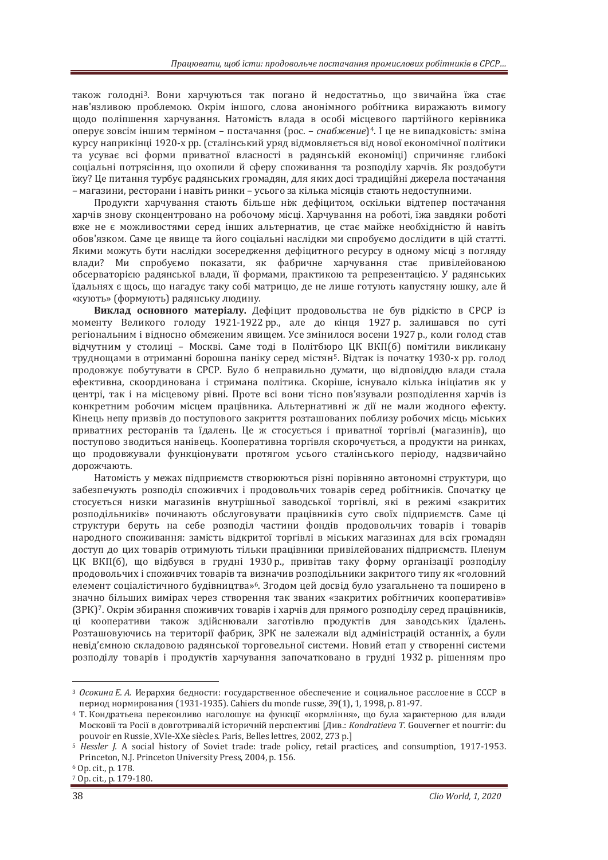також голодніз. Вони харчуються так погано й недостатньо, що звичайна їжа стає нав'язливою проблемою. Окрім іншого, слова анонімного робітника виражають вимогу щодо поліпшення харчування. Натомість влада в особі місцевого партійного керівника оперує зовсім іншим терміном – постачання (рос. – *снабжение*)<sup>4</sup>. І це не випадковість: зміна курсу наприкінці 1920-х рр. (сталінський уряд відмовляється від нової економічної політики та усуває всі форми приватної власності в радянській економіці) спричиняє глибокі соціальні потрясіння, що охопили й сферу споживання та розполілу харчів. Як розлобути їжу? Це питання турбує радянських громадян, для яких досі традиційні джерела постачання – магазини, ресторани і навіть ринки – усього за кілька місяців стають недоступними.

Продукти харчування стають більше ніж дефіцитом, оскільки відтепер постачання харчів знову сконцентровано на робочому місці. Харчування на роботі, їжа завдяки роботі вже не є можливостями серед інших альтернатив, це стає майже необхідністю й навіть обов'язком. Саме це явище та його соціальні наслідки ми спробуємо дослідити в цій статті. Якими можуть бути наслідки зосередження дефіцитного ресурсу в одному місці з погляду влади? Ми спробуємо показати, як фабричне харчування стає привілейованою обсерваторією радянської влади, її формами, практикою та репрезентацією. У радянських їдальнях є шось, що нагадує таку собі матрицю, де не лище готують капустяну ющку, але й «кують» (формують) радянську людину.

Виклад основного матеріалу. Дефіцит продовольства не був рідкістю в СРСР із моменту Великого голоду 1921-1922 рр., але до кінця 1927 р. залишався по суті регіональним і відносно обмеженим явищем. Усе змінилося восени 1927 р., коли голод став відчутним у столиці - Москві. Саме тоді в Політбюро ЦК ВКП(б) помітили викликану труднощами в отриманні борошна паніку серед містян<sup>5</sup>. Відтак із початку 1930-х рр. голод продовжує побутувати в СРСР. Було б неправильно думати, що відповіддю влади стала ефективна, скоординована і стримана політика. Скоріше, існувало кілька ініціатив як у центрі, так і на місцевому рівні. Проте всі вони тісно пов'язували розподілення харчів із конкретним робочим місцем працівника. Альтернативні ж дії не мали жодного ефекту. Кінець непу призвів до поступового закриття розташованих поблизу робочих місць міських приватних ресторанів та їдалень. Це ж стосується і приватної торгівлі (магазинів), що поступово зводиться нанівець. Кооперативна торгівля скорочується, а продукти на ринках, що продовжували функціонувати протягом усього сталінського періоду, надзвичайно дорожчають.

Натомість у межах підприємств створюються різні порівняно автономні структури, що забезпечують розподіл споживчих і продовольчих товарів серед робітників. Спочатку це стосується низки магазинів внутрішньої заводської торгівлі, які в режимі «закритих розполільників» починають обслуговувати працівників суто своїх пілприємств. Саме ці структури беруть на себе розподіл частини фондів продовольчих товарів і товарів народного споживання: замість відкритої торгівлі в міських магазинах для всіх громадян доступ до цих товарів отримують тільки працівники привілейованих підприємств. Пленум ЦК ВКП(б), що відбувся в грудні 1930 р., привітав таку форму організації розподілу продовольчих і споживчих товарів та визначив розподільники закритого типу як «головний елемент соціалістичного будівництва»<sup>6</sup>. Згодом цей досвід було узагальнено та поширено в значно більших вимірах через створення так званих «закритих робітничих кооперативів» (ЗРК)<sup>7</sup>. Окрім збирання споживчих товарів і харчів для прямого розподілу серед працівників, ці кооперативи також здійснювали заготівлю продуктів для заводських їдалень. Розташовуючись на території фабрик. ЗРК не залежали віл адміністрацій останніх, а були невіл'ємною складовою радянської торговельної системи. Новий етап у створенні системи розподілу товарів і продуктів харчування започатковано в грудні 1932 р. рішенням про

<sup>&</sup>lt;sup>3</sup> Осокина Е. А. Иерархия бедности: государственное обеспечение и социальное расслоение в СССР в период нормирования (1931-1935). Cahiers du monde russe, 39(1), 1, 1998, р. 81-97.

<sup>&</sup>lt;sup>4</sup> Т. Кондратьева переконливо наголошує на функції «кормління», що була характерною для влади ʛˑ˔ˍˑ˅˪˫˕˃ʟˑ˔˪˫˅ˇˑ˅ˆˑ˕˓ˋ˅˃ˎ˪ˌ˪˔˕ˑ˓ˋ˚ː˪ˌ ˒ˈ˓˔˒ˈˍ˕ˋ˅˪ [ʓˋ˅Ǥǣ *ʡǤ* Gouverner et nourrir: du pouvoir en Russie, XVIe-XXe siècles. Paris, Belles lettres, 2002, 273 p.]

<sup>5</sup> *Hessler J.* A social history of Soviet trade: trade policy, retail practices, and consumption, 1917-1953. Princeton, N.J. Princeton University Press, 2004, p. 156.

<sup>6</sup> Op. cit., p. 178.

<sup>7</sup> Op. cit., p. 179-180.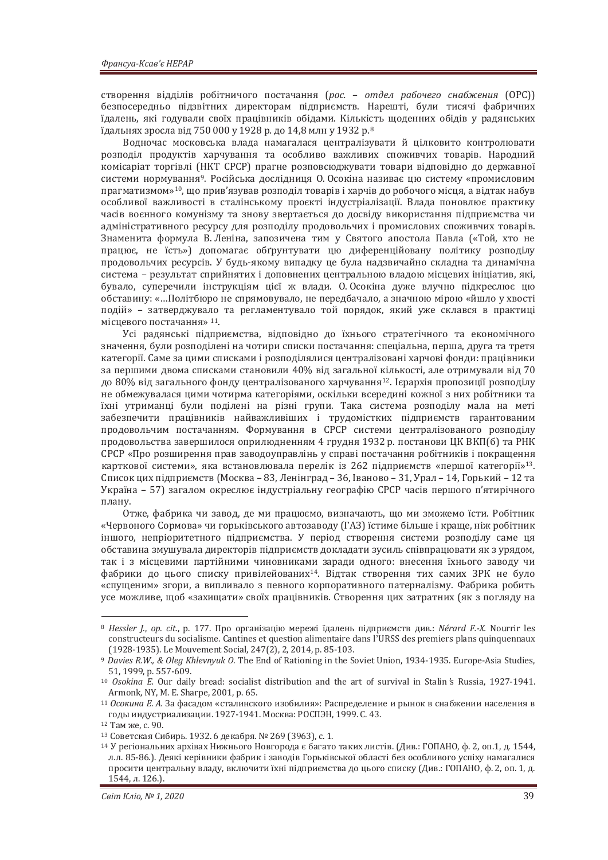створення відділів робітничого постачання (*рос. – отдел рабочего снабжения* (ОРС)) безпосередньо підзвітних директорам підприємств. Нарешті, були тисячі фабричних їдалень, які годували своїх працівників обідами. Кількість шоденних обідів у радянських їдальнях зросла від 750 000 у 1928 р. до 14,8 млн у 1932 р.<sup>8</sup>

Водночас московська влада намагалася централізувати й цілковито контролювати розполіл продуктів харчування та особливо важливих споживчих товарів. Народний комісаріат торгівлі (НКТ СРСР) прагне розповсюджувати товари відповідно до державної системи нормування<sup>9</sup>. Російська дослідниця О. Осокіна називає цю систему «промисловим прагматизмом»<sup>10</sup>, що прив'язував розподіл товарів і харчів до робочого місця, а відтак набув особливої важливості в сталінському проєкті індустріалізації. Влада поновлює практику часів воєнного комунізму та знову звертається до досвіду використання підприємства чи адміністративного ресурсу для розподілу продовольчих і промислових споживчих товарів. Знаменита формула В. Леніна, запозичена тим у Святого апостола Павла («Той, хто не працює, не їсть») допомагає обґрунтувати цю диференційовану політику розподілу продовольчих ресурсів. У будь-якому випадку це була надзвичайно складна та динамічна система – результат сприйнятих і доповнених центральною владою місцевих ініціатив, які, бувало, суперечили інструкціям цієї ж влади. О Осокіна дуже влучно підкреслює цю обставину: «...Політбюро не спрямовувало, не передбачало, а значною мірою «йшло у хвості подій» - затверджувало та регламентувало той порядок, який уже склався в практиці місцевого постачання» 11.

Усі радянські підприємства, відповідно до їхнього стратегічного та економічного значення, були розподілені на чотири списки постачання: спеціальна, перша, друга та третя категорії. Саме за цими списками і розподілялися централізовані харчові фонди: працівники за першими двома списками становили 40% від загальної кількості, але отримували від 70 до 80% від загального фонду централізованого харчування<sup>12</sup>. Ієрархія пропозиції розподілу не обмежувалася цими чотирма категоріями, оскільки всередині кожної з них робітники та їхні утриманці були поділені на різні групи. Така система розподілу мала на меті забезпечити працівників найважливіших і трудомістких підприємств гарантованим продовольчим постачанням. Формування в СРСР системи централізованого розподілу продовольства завершилося оприлюдненням 4 грудня 1932 р. постанови ЦК ВКП(б) та РНК СРСР «Про розширення прав заводоуправлінь у справі постачання робітників і покращення карткової системи», яка встановлювала перелік із 262 підприємств «першої категорії»<sup>13</sup>. Список цих підприємств (Москва – 83, Ленінград – 36, Іваново – 31, Урал – 14, Горький – 12 та Україна – 57) загалом окреслює індустріальну географію СРСР часів першого п'ятирічного плану.

Отже, фабрика чи завод, де ми працюємо, визначають, що ми зможемо їсти. Робітник «Червоного Сормова» чи горьківського автозаводу (ГАЗ) їстиме більше і краще, ніж робітник іншого, непріоритетного підприємства. У період створення системи розподілу саме ця обставина змушувала директорів підприємств докладати зусиль співпрацювати як з урядом, так і з місцевими партійними чиновниками заради одного: внесення їхнього заводу чи фабрики до цього списку привілейованих<sup>14</sup>. Відтак створення тих самих ЗРК не було «спущеним» згори, а випливало з певного корпоративного патерналізму. Фабрика робить усе можливе, щоб «захищати» своїх працівників. Створення цих затратних (як з погляду на

<sup>&</sup>lt;sup>8</sup> Hessler *I., op. cit., p.* 177. Про організацію мережі їдалень підприємств див.: Nérard F.-X. Nourrir les constructeurs du socialisme. Cantines et question alimentaire dans l'URSS des premiers plans quinquennaux (1928-1935). Le Mouvement Social, 247(2), 2, 2014, p. 85-103.

<sup>&</sup>lt;sup>9</sup> Davies R.W., & Oleg Khlevnyuk O. The End of Rationing in the Soviet Union, 1934-1935. Europe-Asia Studies, 51, 1999, p. 557-609.

<sup>&</sup>lt;sup>10</sup> Osokina E. Our daily bread: socialist distribution and the art of survival in Stalin's Russia, 1927-1941. Armonk, NY, M. E. Sharpe, 2001, p. 65.

<sup>&</sup>lt;sup>11</sup> Осокина Е. А. За фасадом «сталинского изобилия»: Распределение и рынок в снабжении населения в годы индустриализации. 1927-1941. Москва: РОСПЭН, 1999. С. 43.<br><sup>12</sup> Там же, с. 90.<br><sup>13</sup> Советская Сибирь. 1932. 6 декабря. № 269 (3963), с. 1.

<sup>&</sup>lt;sup>14</sup> У регіональних архівах Нижнього Новгорода є багато таких листів. (Див.: ГОПАНО, ф. 2, оп.1, д. 1544, л.л. 85-86.). Деякі керівники фабрик і заводів Горьківської області без особливого успіху намагалися просити центральну владу, включити їхні підприємства до цього списку (Див.: ГОПАНО, ф. 2, оп. 1, д. 1544, ˎ. 126.).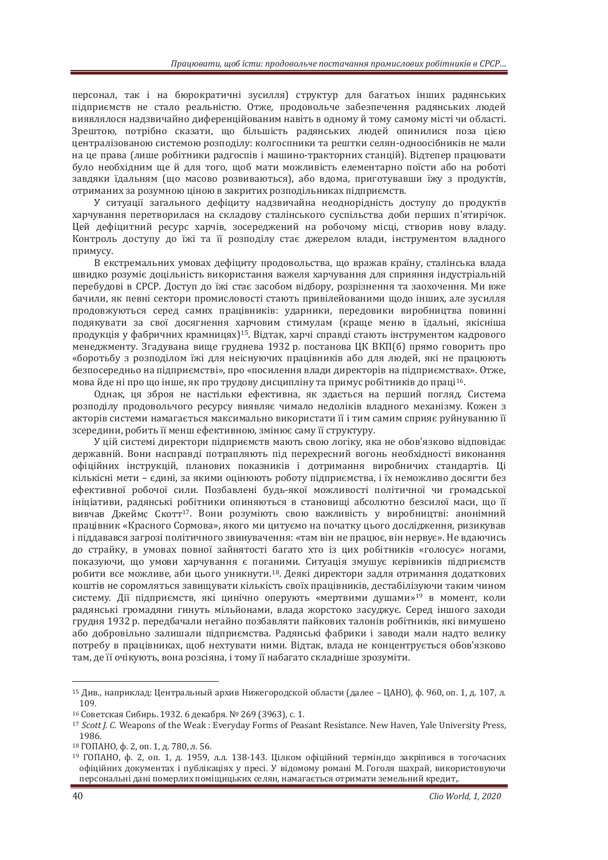персонал, так і на бюрократичні зусилля) структур для багатьох інших радянських підприємств не стало реальністю. Отже, продовольче забезпечення радянських людей виявлялося надзвичайно диференційованим навіть в одному й тому самому місті чи області. Зрештою, потрібно сказати, що більшість радянських людей опинилися поза цією централізованою системою розподілу: колгоспники та рештки селян-одноосібників не мали на не права (лише робітники радгоспів і машино-тракторних станцій). Відтепер працювати було необхідним ще й для того, щоб мати можливість елементарно поїсти або на роботі завдяки їдальням (що масово розвиваються), або вдома, приготувавши їжу з продуктів, отриманих за розумною ціною в закритих розподільниках підприємств.

У ситуації загального дефіциту надзвичайна неоднорідність доступу до продуктів харчування перетворилася на складову сталінського суспільства доби перших п'ятирічок. Шей дефіцитний ресурс харчів, зосереджений на робочому місці, створив нову владу, Контроль доступу до їжі та її розподілу стає джерелом влади, інструментом владного примусу.

В екстремальних умовах дефіциту продовольства, що вражав країну, сталінська влада швидко розуміє доцільність використання важеля харчування для сприяння індустріальній перебудові в СРСР. Доступ до їжі стає засобом відбору, розрізнення та заохочення. Ми вже бачили, як певні сектори промисловості стають привілейованими щодо інших, але зусилля продовжуються серед самих працівників: ударники, передовики виробництва повинні подякувати за свої досягнення харчовим стимулам (краще меню в їдальні, якісніша продукція у фабричних крамницях)<sup>15</sup>. Відтак, харчі справді стають інструментом кадрового менеджменту. Згадувана вище груднева 1932 р. постанова ЦК ВКП(б) прямо говорить про «боротьбу з розподілом їжі для неіснуючих працівників або для людей, які не працюють безпосередньо на підприємстві», про «посилення влади директорів на підприємствах». Отже, мова йде ні про що інше, як про трудову дисципліну та примус робітників до праці<sup>16</sup>.

Однак, ця зброя не настільки ефективна, як здається на перший погляд. Система розподілу продовольчого ресурсу виявляє чимало недоліків владного механізму. Кожен з акторів системи намагається максимально використати її і тим самим сприяє руйнуванню її зсередини, робить її менш ефективною, змінює саму її структуру.

У цій системі директори підприємств мають свою логіку, яка не обов'язково відповідає державній. Вони насправлі потрапляють піл перехресний вогонь необхілності виконання офіційних інструкцій, планових показників і дотримання виробничих стандартів. Ці кількісні мети – єдині, за якими оцінюють роботу підприємства, і їх неможливо досягти без ефективної робочої сили. Позбавлені будь-якої можливості політичної чи громадської ініціативи, ралянські робітники опиняються в становищі абсолютно безсилої маси, що її вивчав Джеймс Скотт<sup>17</sup>. Вони розуміють свою важливість у виробництві: анонімний працівник «Красного Сормова», якого ми цитуємо на початку цього дослідження, ризикував і піддавався загрозі політичного звинувачення: «там він не працює, він нервує». Не вдаючись до страйку, в умовах повної зайнятості багато хто із цих робітників «голосує» ногами, показуючи, що умови харчування є поганими. Ситуація змушує керівників підприємств робити все можливе, аби цього уникнути.<sup>18</sup>. Деякі директори задля отримання додаткових коштів не соромляться завищувати кількість своїх працівників, дестабілізуючи таким чином систему. Дії підприємств, які цинічно оперують «мертвими душами»<sup>19</sup> в момент, коли радянські громадяни гинуть мільйонами, влада жорстоко засуджує. Серед іншого заходи грудня 1932 р. передбачали негайно позбавляти пайкових талонів робітників, які вимушено або добровільно залишали підприємства. Радянські фабрики і заводи мали надто велику потребу в працівниках, щоб нехтувати ними. Відтак, влада не концентрується обов'язково там, де її очікують, вона розсіяна, і тому її набагато складніше зрозуміти.

 $15$  Див., наприклад: Центральный архив Нижегородской области (далее – ЦАНО), ф. 960, оп. 1, д. 107, л. — 109.<br><sup>16</sup> Советская Сибирь. 1932. 6 лекабря. № 269 (3963). с. 1.

<sup>&</sup>lt;sup>17</sup> Scott *I. C.* Weapons of the Weak : Everyday Forms of Peasant Resistance. New Haven, Yale University Press, 1986.<br><sup>18</sup> ГОПАНО, ф. 2, оп. 1, д. 780, л. 56.

<sup>19</sup> ГОПАНО, ф. 2, оп. 1, д. 1959, л.л. 138-143. Цілком офіційний термін,що закріпився в тогочасних офіційних документах і публікаціях у пресі. У відомому романі М. Гоголя шахрай, використовуючи персональні дані померлих поміщицьких селян, намагається отримати земельний кредит,.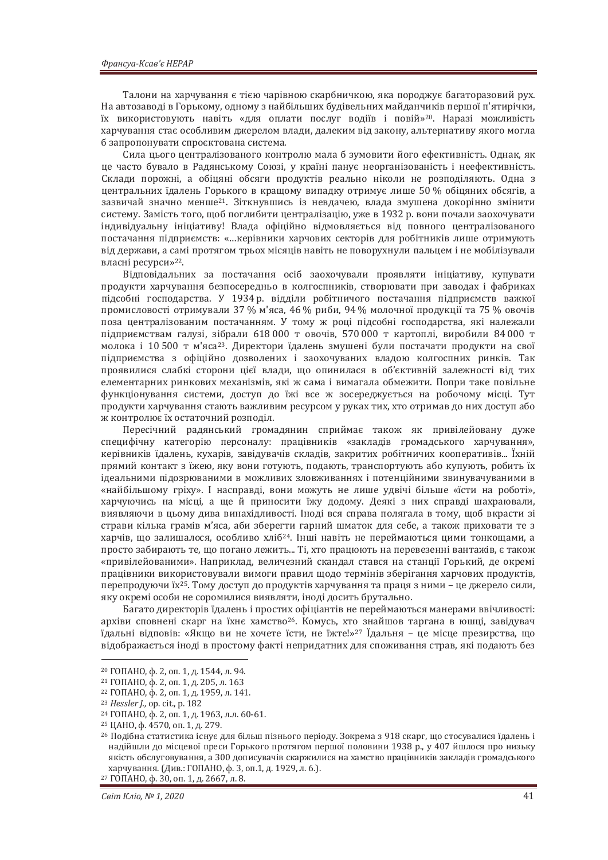Талони на харчування є тією чарівною скарбничкою, яка породжує багаторазовий рух. На автозаводі в Горькому, одному з найбільших будівельних майданчиків першої п'ятирічки, їх використовують навіть «для оплати послуг водіїв і повій»<sup>20</sup>. Наразі можливість харчування стає особливим джерелом влади, далеким від закону, альтернативу якого могла б запропонувати спроєктована система.

Сила цього централізованого контролю мала б зумовити його ефективність. Однак, як це часто бувало в Радянському Союзі, у країні панує неорганізованість і неефективність. Склади порожні, а обіцяні обсяги продуктів реально ніколи не розподіляють. Одна з центральних їдалень Горького в кращому випадку отримує лише 50 % обіцяних обсягів, а зазвичай значно менше<sup>21</sup>. Зіткнувшись із невдачею, влада змушена докорінно змінити систему. Замість того, щоб поглибити централізацію, уже в 1932 р. вони почали заохочувати індивідуальну ініціативу! Влада офіційно відмовляється від повного централізованого постачання підприємств: «...керівники харчових секторів для робітників лише отримують від держави, а самі протягом трьох місяців навіть не поворухнули пальцем і не мобілізували власні ресурси»<sup>22</sup>.

Відповідальних за постачання осіб заохочували проявляти ініціативу, купувати продукти харчування безпосередньо в колгоспників, створювати при заводах і фабриках підсобні господарства. У 1934 р. відділи робітничого постачання підприємств важкої промисловості отримували 37 % м'яса, 46 % риби, 94 % молочної продукції та 75 % овочів поза централізованим постачанням. У тому ж році підсобні господарства, які належали підприємствам галузі, зібрали 618 000 т овочів, 570 000 т картоплі, виробили 84 000 т молока і 10 500 т м'яса<sup>23</sup>. Директори їдалень змушені були постачати продукти на свої підприємства з офіційно дозволених і заохочуваних владою колгоспних ринків. Так проявилися слабкі сторони цієї влади, що опинилася в об'єктивній залежності від тих елементарних ринкових механізмів, які ж сама і вимагала обмежити. Попри таке повільне функціонування системи, доступ до їжі все ж зосереджується на робочому місці. Тут продукти харчування стають важливим ресурсом у руках тих, хто отримав до них доступ або ж контролює їх остаточний розподіл.

Пересічний радянський громадянин сприймає також як привілейовану дуже специфічну категорію персоналу: працівників «закладів громадського харчування», керівників їдалень, кухарів, завідувачів складів, закритих робітничих кооперативів... Їхній прямий контакт з їжею, яку вони готують, подають, транспортують або купують, робить їх ілеальними пілозрюваними в можливих зловживаннях і потенційними звинувачуваними в «найбільшому гріху». І насправді, вони можуть не лише удвічі більше «їсти на роботі», харчуючись на місці, а ще й приносити їжу додому. Деякі з них справді шахраювали, виявляючи в цьому дива винахідливості. Іноді вся справа полягала в тому, щоб вкрасти зі страви кілька грамів м'яса, аби зберегти гарний шматок для себе, а також приховати те з харчів, що залишалося, особливо хліб<sup>24</sup>. Інші навіть не переймаються цими тонкощами, а просто забирають те, що погано лежить... Ті, хто працюють на перевезенні вантажів, є також «привілейованими». Наприклад, величезний скандал стався на станції Горький, де окремі працівники використовували вимоги правил щодо термінів зберігання харчових продуктів, перепродуючи їх<sup>25</sup>. Тому доступ до продуктів харчування та праця з ними – це джерело сили, яку окремі особи не соромилися виявляти, іноді досить брутально.

Багато директорів їдалень і простих офіціантів не переймаються манерами ввічливості: архіви сповнені скарг на їхнє хамство<sup>26</sup>. Комусь, хто знайшов таргана в юшці, завідувач їдальні вілповів: «Якшо ви не хочете їсти, не їжте!»<sup>27</sup> Їдальня – це місце презирства, що відображається іноді в простому факті непридатних для споживання страв, які подають без

<sup>&</sup>lt;sup>20</sup> ГОПАНО, ф. 2, оп. 1, д. 1544, л. 94.<br><sup>21</sup> ГОПАНО, ф. 2, оп. 1, д. 205, л. 163<br><sup>22</sup> ГОПАНО, ф. 2, оп. 1, д. 1959, л. 141.<br><sup>23</sup> Hessler J., ор. сit., р. 182<br><sup>24</sup> ГОПАНО, ф. 4570, оп. 1, д. 279.<br><sup>25</sup> ЦАНО, ф. 4570, оп. надійшли до місцевої преси Горького протягом першої половини 1938 р., у 407 йшлося про низьку якість обслуговування, а 300 дописувачів скаржилися на хамство працівників закладів громадського харчування. (Див.: ГОПАНО, ф. 3, оп.1, д. 1929, л. 6.).<br><sup>27</sup> ГОПАНО, ф. 30, оп. 1, д. 2667, л. 8.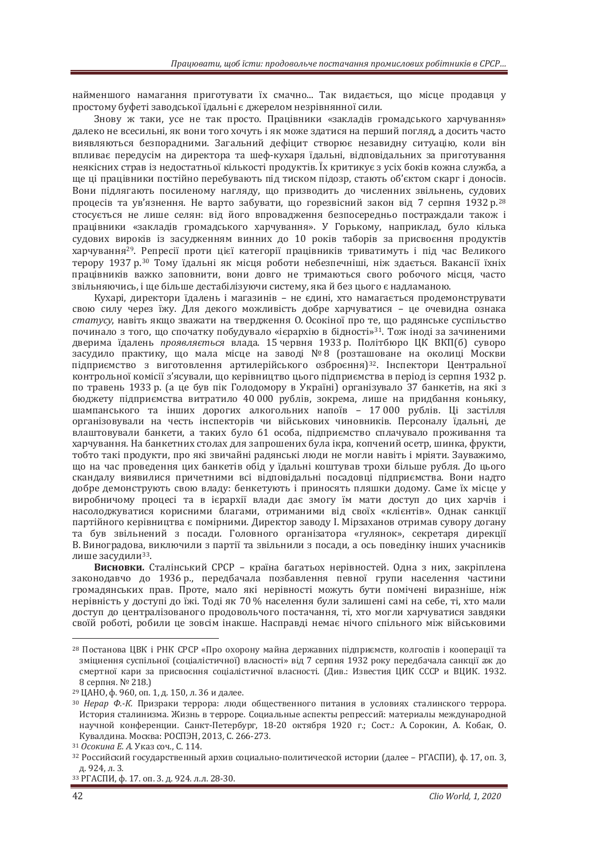найменшого намагання приготувати їх смачно... Так видається, що місце продавця у простому буфеті заводської їдальні є джерелом незрівнянної сили.

Знову ж таки, усе не так просто. Працівники «закладів громадського харчування» далеко не всесильні, як вони того хочуть і як може златися на перший погляд, а досить часто виявляються безпорадними. Загальний дефіцит створює незавидну ситуацію, коли він впливає передусім на директора та шеф-кухаря їдальні, відповідальних за приготування неякісних страв із недостатньої кількості продуктів. Їх критикує з усіх боків кожна служба, а ще ці працівники постійно перебувають під тиском підозр, стають об'єктом скарг і доносів. Вони підлягають посиленому нагляду, що призводить до численних звільнень, судових процесів та ув'язнення. Не варто забувати, що горезвісний закон від 7 серпня 1932 р.<sup>28</sup> стосується не лише селян: від його впровадження безпосередньо постраждали також і працівники «закладів громадського харчування». У Горькому, наприклад, було кілька судових вироків із засудженням винних до 10 років таборів за присвоєння продуктів харчування<sup>29</sup>. Репресії проти цієї категорії працівників триватимуть і під час Великого терору 1937 р.<sup>30</sup> Тому їдальні як місця роботи небезпечніші, ніж здається. Вакансії їхніх працівників важко заповнити, вони довго не тримаються свого робочого місця, часто звільняючись, і ще більше лестабілізуючи систему, яка й без цього є налламаною.

Кухарі, директори їдалень і магазинів – не єдині, хто намагається продемонструвати свою силу через їжу. Для декого можливість добре харчуватися - це очевидна ознака *статусу*, навіть якщо зважати на твердження О. Осокіної про те, що радянське суспільство починало з того, що спочатку побудувало «ієрархію в бідності»<sup>31</sup>. Тож іноді за зачиненими дверима їдалень *проявляється* влада. 15 червня 1933 р. Політбюро ЦК ВКП(б) суворо засудило практику, що мала місце на заводі № 8 (розташоване на околиці Москви підприємство з виготовлення артилерійського озброєння)<sup>32</sup>. Інспектори Центральної контрольної комісії з'ясували, що керівництво цього підприємства в період із серпня 1932 р. по травень 1933 р. (а це був пік Голодомору в Україні) організувало 37 банкетів, на які з бюджету підприємства витратило 40 000 рублів, зокрема, лише на придбання коньяку, шампанського та інших лорогих алкогольних напоїв – 17000 рублів. Ці застілля організовували на честь інспекторів чи військових чиновників. Персоналу їдальні, де влаштовували банкети, а таких було 61 особа, підприємство сплачувало проживання та харчування. На банкетних столах для запрошених була ікра, копчений осетр, шинка, фрукти, тобто такі продукти, про які звичайні радянські люди не могли навіть і мріяти. Зауважимо, що на час проведення цих банкетів обід у їдальні коштував трохи більше рубля. До цього скандалу виявилися причетними всі відповідальні посадовці підприємства. Вони надто добре демонструють свою владу: бенкетують і приносять пляшки додому. Саме їх місце у виробничому процесі та в ієрархії влади дає змогу їм мати доступ до цих харчів і насолоджуватися корисними благами, отриманими від своїх «клієнтів». Однак санкції партійного керівництва є помірними. Директор заводу I. Мірзаханов отримав сувору догану та був звільнений з посади. Головного організатора «гулянок», секретаря дирекції В. Виногралова, виключили з партії та звільнили з посали, а ось повелінку інших учасників лише засудили<sup>33</sup>.

**Висновки.** Сталінський СРСР – країна багатьох нерівностей. Одна з них, закріплена законодавчо до 1936 р., передбачала позбавлення певної групи населення частини громадянських прав. Проте, мало які нерівності можуть бути помічені виразніше, ніж нерівність у доступі до їжі. Тоді як 70 % населення були залишені самі на себе, ті, хто мали доступ до централізованого продовольчого постачання, ті, хто могли харчуватися завдяки своїй роботі, робили це зовсім інакше. Насправді немає нічого спільного між військовими

<sup>&</sup>lt;sup>28</sup> Постанова ЦВК і РНК СРСР «Про охорону майна державних підприємств, колгоспів і кооперації та зміцнення суспільної (соціалістичної) власності» від 7 серпня 1932 року передбачала санкції аж до смертної кари за присвоєння соціалістичної власності. (Див.: Известия ЦИК СССР и ВЦИК. 1932. 8 серпня. № 218.)

<sup>&</sup>lt;sup>29</sup> ЦАНО, ф. 960, оп. 1, д. 150, л. 36 и далее.<br><sup>30</sup> Нерар Ф.-К. Призраки террора: люди общественного питания в условиях сталинского террора. История сталинизма. Жизнь в терроре. Социальные аспекты репрессий: материалы международной научной конференции. Санкт-Петербург, 18-20 октября 1920 г.; Сост.: А. Сорокин, А. Кобак, О. <sup>и</sup>увалдина. Москва: РОСПЭН, 2013, С. 266-273.<br><sup>31</sup> *Осокина Е. А.* Указ соч., С. 114.<br><sup>32</sup> Российский государственный архив социально-политической истории (далее – РГАСПИ), ф. 17, оп. 3,

д. 924, л. 3.<br><sup>33</sup> РГАСПИ, ф. 17. оп. 3. д. 924. л.л. 28-30.